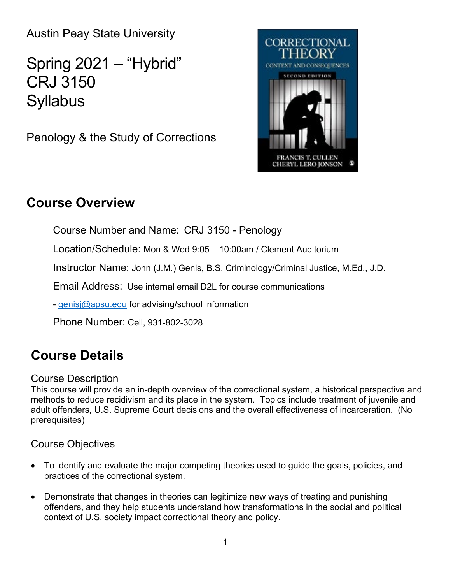Austin Peay State University

Spring 2021 – "Hybrid" CRJ 3150 **Syllabus** 

Penology & the Study of Corrections



## **Course Overview**

Course Number and Name: CRJ 3150 - Penology

Location/Schedule: Mon & Wed 9:05 – 10:00am / Clement Auditorium

Instructor Name: John (J.M.) Genis, B.S. Criminology/Criminal Justice, M.Ed., J.D.

Email Address: Use internal email D2L for course communications

- [genisj@apsu.edu](mailto:campbellt@apsu.edu) for advising/school information

Phone Number: Cell, 931-802-3028

# **Course Details**

### Course Description

This course will provide an in-depth overview of the correctional system, a historical perspective and methods to reduce recidivism and its place in the system. Topics include treatment of juvenile and adult offenders, U.S. Supreme Court decisions and the overall effectiveness of incarceration. (No prerequisites)

## Course Objectives

- To identify and evaluate the major competing theories used to guide the goals, policies, and practices of the correctional system.
- Demonstrate that changes in theories can legitimize new ways of treating and punishing offenders, and they help students understand how transformations in the social and political context of U.S. society impact correctional theory and policy.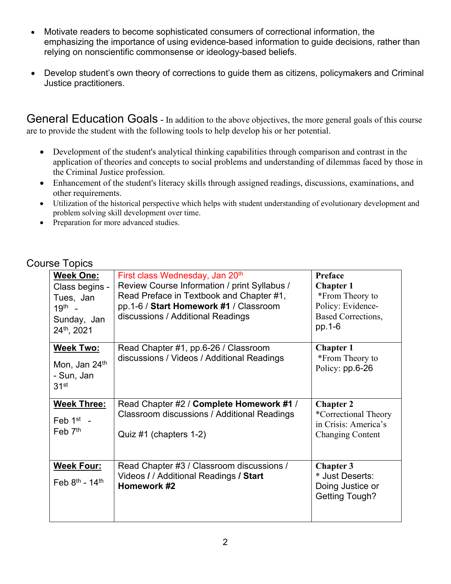- Motivate readers to become sophisticated consumers of correctional information, the emphasizing the importance of using evidence-based information to guide decisions, rather than relying on nonscientific commonsense or ideology-based beliefs.
- Develop student's own theory of corrections to guide them as citizens, policymakers and Criminal Justice practitioners.

General Education Goals - In addition to the above objectives, the more general goals of this course are to provide the student with the following tools to help develop his or her potential.

- Development of the student's analytical thinking capabilities through comparison and contrast in the application of theories and concepts to social problems and understanding of dilemmas faced by those in the Criminal Justice profession.
- Enhancement of the student's literacy skills through assigned readings, discussions, examinations, and other requirements.
- Utilization of the historical perspective which helps with student understanding of evolutionary development and problem solving skill development over time.
- Preparation for more advanced studies.

### Course Topics

| <b>Week One:</b><br>Class begins -<br>Tues, Jan<br>$19^{th}$ -<br>Sunday, Jan<br>24th, 2021 | First class Wednesday, Jan 20 <sup>th</sup><br>Review Course Information / print Syllabus /<br>Read Preface in Textbook and Chapter #1,<br>pp.1-6 / Start Homework #1 / Classroom<br>discussions / Additional Readings | Preface<br><b>Chapter 1</b><br>*From Theory to<br>Policy: Evidence-<br><b>Based Corrections,</b><br>pp.1-6 |
|---------------------------------------------------------------------------------------------|------------------------------------------------------------------------------------------------------------------------------------------------------------------------------------------------------------------------|------------------------------------------------------------------------------------------------------------|
| <b>Week Two:</b><br>Mon, Jan 24 <sup>th</sup><br>- Sun, Jan<br>31 <sup>st</sup>             | Read Chapter #1, pp.6-26 / Classroom<br>discussions / Videos / Additional Readings                                                                                                                                     | <b>Chapter 1</b><br>*From Theory to<br>Policy: pp.6-26                                                     |
| <b>Week Three:</b><br>Feb $1st$ -<br>Feb 7 <sup>th</sup>                                    | Read Chapter #2 / Complete Homework #1 /<br>Classroom discussions / Additional Readings<br>Quiz #1 (chapters 1-2)                                                                                                      | <b>Chapter 2</b><br>*Correctional Theory<br>in Crisis: America's<br><b>Changing Content</b>                |
| <b>Week Four:</b><br>Feb $8^{th}$ - 14 <sup>th</sup>                                        | Read Chapter #3 / Classroom discussions /<br>Videos / / Additional Readings / Start<br>Homework #2                                                                                                                     | <b>Chapter 3</b><br>* Just Deserts:<br>Doing Justice or<br><b>Getting Tough?</b>                           |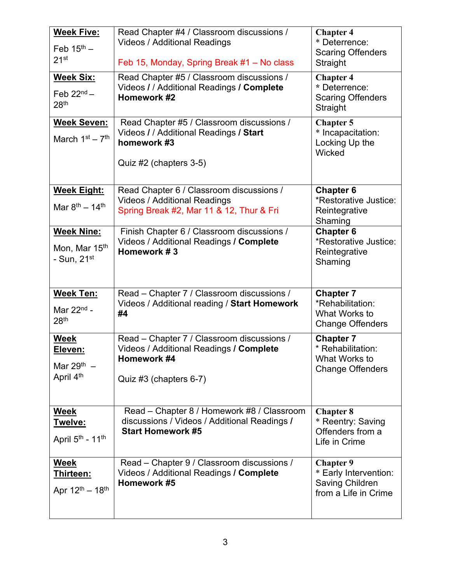| <b>Week Five:</b><br>Feb $15th$ –<br>21 <sup>st</sup>                      | Read Chapter #4 / Classroom discussions /<br><b>Videos / Additional Readings</b><br>Feb 15, Monday, Spring Break #1 - No class | <b>Chapter 4</b><br>* Deterrence:<br><b>Scaring Offenders</b><br>Straight                   |  |
|----------------------------------------------------------------------------|--------------------------------------------------------------------------------------------------------------------------------|---------------------------------------------------------------------------------------------|--|
| <b>Week Six:</b><br>Feb $22^{nd}$ –<br>28 <sup>th</sup>                    | Read Chapter #5 / Classroom discussions /<br>Videos / / Additional Readings / Complete<br>Homework #2                          | <b>Chapter 4</b><br>* Deterrence:<br><b>Scaring Offenders</b><br>Straight                   |  |
| <b>Week Seven:</b><br>March $1st - 7th$                                    | Read Chapter #5 / Classroom discussions /<br>Videos / / Additional Readings / Start<br>homework #3<br>Quiz #2 (chapters 3-5)   | <b>Chapter 5</b><br>* Incapacitation:<br>Locking Up the<br>Wicked                           |  |
| <b>Week Eight:</b><br>Mar $8^{th} - 14^{th}$                               | Read Chapter 6 / Classroom discussions /<br><b>Videos / Additional Readings</b><br>Spring Break #2, Mar 11 & 12, Thur & Fri    | <b>Chapter 6</b><br>*Restorative Justice:<br>Reintegrative<br>Shaming                       |  |
| <b>Week Nine:</b><br>Mon, Mar 15 <sup>th</sup><br>- Sun, $21st$            | Finish Chapter 6 / Classroom discussions /<br>Videos / Additional Readings / Complete<br>Homework #3                           | <b>Chapter 6</b><br>*Restorative Justice:<br>Reintegrative<br>Shaming                       |  |
| <b>Week Ten:</b><br>Mar $22nd$ -<br>28 <sup>th</sup>                       | Read - Chapter 7 / Classroom discussions /<br>Videos / Additional reading / Start Homework<br>#4                               | <b>Chapter 7</b><br>*Rehabilitation:<br>What Works to<br><b>Change Offenders</b>            |  |
| <b>Week</b><br>Eleven:<br>Mar $29^{th}$ –<br>April 4 <sup>th</sup>         | Read - Chapter 7 / Classroom discussions /<br>Videos / Additional Readings / Complete<br>Homework #4<br>Quiz #3 (chapters 6-7) | <b>Chapter 7</b><br>* Rehabilitation:<br>What Works to<br><b>Change Offenders</b>           |  |
| <b>Week</b><br><u>Twelve:</u><br>April 5 <sup>th</sup> - 11 <sup>th</sup>  | Read - Chapter 8 / Homework #8 / Classroom<br>discussions / Videos / Additional Readings /<br><b>Start Homework #5</b>         | <b>Chapter 8</b><br>* Reentry: Saving<br>Offenders from a<br>Life in Crime                  |  |
| <b>Week</b><br><u>Thirteen:</u><br>Apr 12 <sup>th</sup> - 18 <sup>th</sup> | Read - Chapter 9 / Classroom discussions /<br>Videos / Additional Readings / Complete<br>Homework #5                           | <b>Chapter 9</b><br>* Early Intervention:<br><b>Saving Children</b><br>from a Life in Crime |  |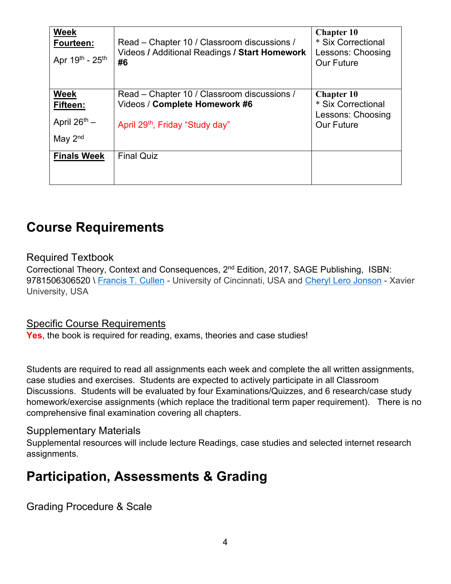| <b>Week</b><br>Fourteen:<br>Apr 19th - 25th | Read – Chapter 10 / Classroom discussions /<br>Videos / Additional Readings / Start Homework<br>#6 | <b>Chapter 10</b><br>* Six Correctional<br>Lessons: Choosing<br><b>Our Future</b> |
|---------------------------------------------|----------------------------------------------------------------------------------------------------|-----------------------------------------------------------------------------------|
| Week<br>Fifteen:                            | Read – Chapter 10 / Classroom discussions /<br>Videos / Complete Homework #6                       | <b>Chapter 10</b><br>* Six Correctional                                           |
| April $26^{th}$ –                           | April 29 <sup>th</sup> , Friday "Study day"                                                        | Lessons: Choosing<br><b>Our Future</b>                                            |
| May $2nd$                                   |                                                                                                    |                                                                                   |
| <b>Finals Week</b>                          | <b>Final Quiz</b>                                                                                  |                                                                                   |
|                                             |                                                                                                    |                                                                                   |

## **Course Requirements**

### Required Textbook

Correctional Theory, Context and Consequences, 2nd Edition, 2017, SAGE Publishing, ISBN: 9781506306520 \ [Francis T. Cullen](https://us.sagepub.com/en-us/nam/author/francis-t-cullen) - University of Cincinnati, USA and [Cheryl Lero Jonson](https://us.sagepub.com/en-us/nam/author/cheryl-lero-jonson) - Xavier University, USA

### Specific Course Requirements

**Yes**, the book is required for reading, exams, theories and case studies!

Students are required to read all assignments each week and complete the all written assignments, case studies and exercises. Students are expected to actively participate in all Classroom Discussions. Students will be evaluated by four Examinations/Quizzes, and 6 research/case study homework/exercise assignments (which replace the traditional term paper requirement). There is no comprehensive final examination covering all chapters.

#### Supplementary Materials

Supplemental resources will include lecture Readings, case studies and selected internet research assignments.

# **Participation, Assessments & Grading**

Grading Procedure & Scale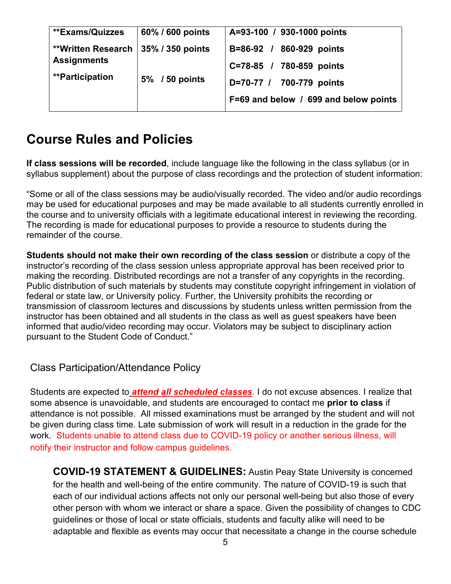| **Exams/Quizzes                                                                              | 60% / 600 points | A=93-100 / 930-1000 points            |
|----------------------------------------------------------------------------------------------|------------------|---------------------------------------|
| <b>**Written Research   35% / 350 points</b><br><b>Assignments</b><br><b>**Participation</b> |                  | B=86-92 / 860-929 points              |
|                                                                                              |                  | C=78-85 / 780-859 points              |
|                                                                                              | 5% / 50 points   | D=70-77 / 700-779 points              |
|                                                                                              |                  | F=69 and below / 699 and below points |

# **Course Rules and Policies**

**If class sessions will be recorded**, include language like the following in the class syllabus (or in syllabus supplement) about the purpose of class recordings and the protection of student information:

"Some or all of the class sessions may be audio/visually recorded. The video and/or audio recordings may be used for educational purposes and may be made available to all students currently enrolled in the course and to university officials with a legitimate educational interest in reviewing the recording. The recording is made for educational purposes to provide a resource to students during the remainder of the course.

**Students should not make their own recording of the class session** or distribute a copy of the instructor's recording of the class session unless appropriate approval has been received prior to making the recording. Distributed recordings are not a transfer of any copyrights in the recording. Public distribution of such materials by students may constitute copyright infringement in violation of federal or state law, or University policy. Further, the University prohibits the recording or transmission of classroom lectures and discussions by students unless written permission from the instructor has been obtained and all students in the class as well as guest speakers have been informed that audio/video recording may occur. Violators may be subject to disciplinary action pursuant to the Student Code of Conduct."

Class Participation/Attendance Policy

Students are expected to *attend all scheduled classes*. I do not excuse absences. I realize that some absence is unavoidable, and students are encouraged to contact me **prior to class** if attendance is not possible. All missed examinations must be arranged by the student and will not be given during class time. Late submission of work will result in a reduction in the grade for the work. Students unable to attend class due to COVID-19 policy or another serious illness, will notify their instructor and follow campus guidelines.

**COVID-19 STATEMENT & GUIDELINES:** Austin Peay State University is concerned for the health and well-being of the entire community. The nature of COVID-19 is such that each of our individual actions affects not only our personal well-being but also those of every other person with whom we interact or share a space. Given the possibility of changes to CDC guidelines or those of local or state officials, students and faculty alike will need to be adaptable and flexible as events may occur that necessitate a change in the course schedule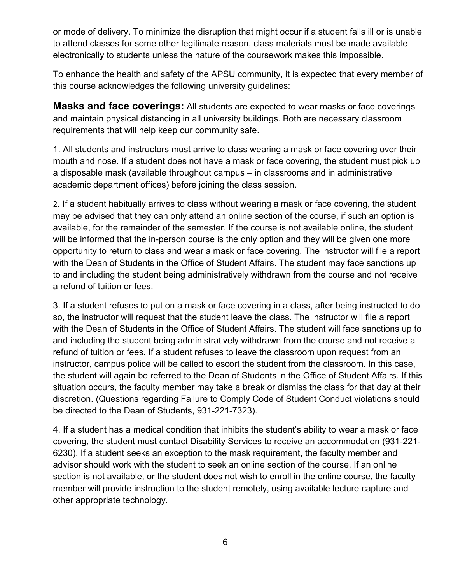or mode of delivery. To minimize the disruption that might occur if a student falls ill or is unable to attend classes for some other legitimate reason, class materials must be made available electronically to students unless the nature of the coursework makes this impossible.

To enhance the health and safety of the APSU community, it is expected that every member of this course acknowledges the following university guidelines:

**Masks and face coverings:** All students are expected to wear masks or face coverings and maintain physical distancing in all university buildings. Both are necessary classroom requirements that will help keep our community safe.

1. All students and instructors must arrive to class wearing a mask or face covering over their mouth and nose. If a student does not have a mask or face covering, the student must pick up a disposable mask (available throughout campus – in classrooms and in administrative academic department offices) before joining the class session.

2. If a student habitually arrives to class without wearing a mask or face covering, the student may be advised that they can only attend an online section of the course, if such an option is available, for the remainder of the semester. If the course is not available online, the student will be informed that the in-person course is the only option and they will be given one more opportunity to return to class and wear a mask or face covering. The instructor will file a report with the Dean of Students in the Office of Student Affairs. The student may face sanctions up to and including the student being administratively withdrawn from the course and not receive a refund of tuition or fees.

3. If a student refuses to put on a mask or face covering in a class, after being instructed to do so, the instructor will request that the student leave the class. The instructor will file a report with the Dean of Students in the Office of Student Affairs. The student will face sanctions up to and including the student being administratively withdrawn from the course and not receive a refund of tuition or fees. If a student refuses to leave the classroom upon request from an instructor, campus police will be called to escort the student from the classroom. In this case, the student will again be referred to the Dean of Students in the Office of Student Affairs. If this situation occurs, the faculty member may take a break or dismiss the class for that day at their discretion. (Questions regarding Failure to Comply Code of Student Conduct violations should be directed to the Dean of Students, 931-221-7323).

4. If a student has a medical condition that inhibits the student's ability to wear a mask or face covering, the student must contact Disability Services to receive an accommodation (931-221- 6230). If a student seeks an exception to the mask requirement, the faculty member and advisor should work with the student to seek an online section of the course. If an online section is not available, or the student does not wish to enroll in the online course, the faculty member will provide instruction to the student remotely, using available lecture capture and other appropriate technology.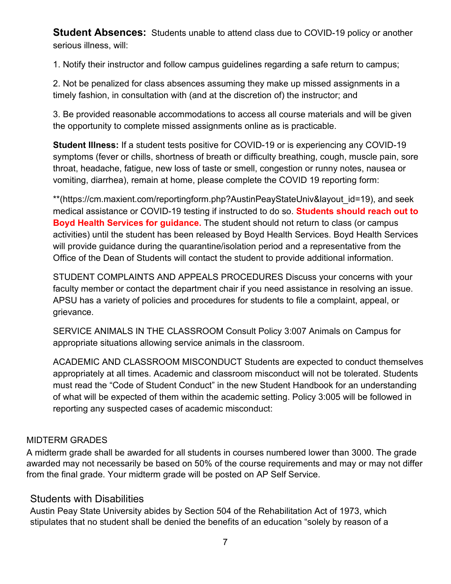**Student Absences:** Students unable to attend class due to COVID-19 policy or another serious illness, will:

1. Notify their instructor and follow campus guidelines regarding a safe return to campus;

2. Not be penalized for class absences assuming they make up missed assignments in a timely fashion, in consultation with (and at the discretion of) the instructor; and

3. Be provided reasonable accommodations to access all course materials and will be given the opportunity to complete missed assignments online as is practicable.

**Student Illness:** If a student tests positive for COVID-19 or is experiencing any COVID-19 symptoms (fever or chills, shortness of breath or difficulty breathing, cough, muscle pain, sore throat, headache, fatigue, new loss of taste or smell, congestion or runny notes, nausea or vomiting, diarrhea), remain at home, please complete the COVID 19 reporting form:

\*\*(https://cm.maxient.com/reportingform.php?AustinPeayStateUniv&layout\_id=19), and seek medical assistance or COVID-19 testing if instructed to do so. **Students should reach out to Boyd Health Services for guidance.** The student should not return to class (or campus activities) until the student has been released by Boyd Health Services. Boyd Health Services will provide guidance during the quarantine/isolation period and a representative from the Office of the Dean of Students will contact the student to provide additional information.

STUDENT COMPLAINTS AND APPEALS PROCEDURES Discuss your concerns with your faculty member or contact the department chair if you need assistance in resolving an issue. APSU has a variety of policies and procedures for students to file a complaint, appeal, or grievance.

SERVICE ANIMALS IN THE CLASSROOM Consult Policy 3:007 Animals on Campus for appropriate situations allowing service animals in the classroom.

ACADEMIC AND CLASSROOM MISCONDUCT Students are expected to conduct themselves appropriately at all times. Academic and classroom misconduct will not be tolerated. Students must read the "Code of Student Conduct" in the new Student Handbook for an understanding of what will be expected of them within the academic setting. Policy 3:005 will be followed in reporting any suspected cases of academic misconduct:

#### MIDTERM GRADES

A midterm grade shall be awarded for all students in courses numbered lower than 3000. The grade awarded may not necessarily be based on 50% of the course requirements and may or may not differ from the final grade. Your midterm grade will be posted on AP Self Service.

#### Students with Disabilities

Austin Peay State University abides by Section 504 of the Rehabilitation Act of 1973, which stipulates that no student shall be denied the benefits of an education "solely by reason of a